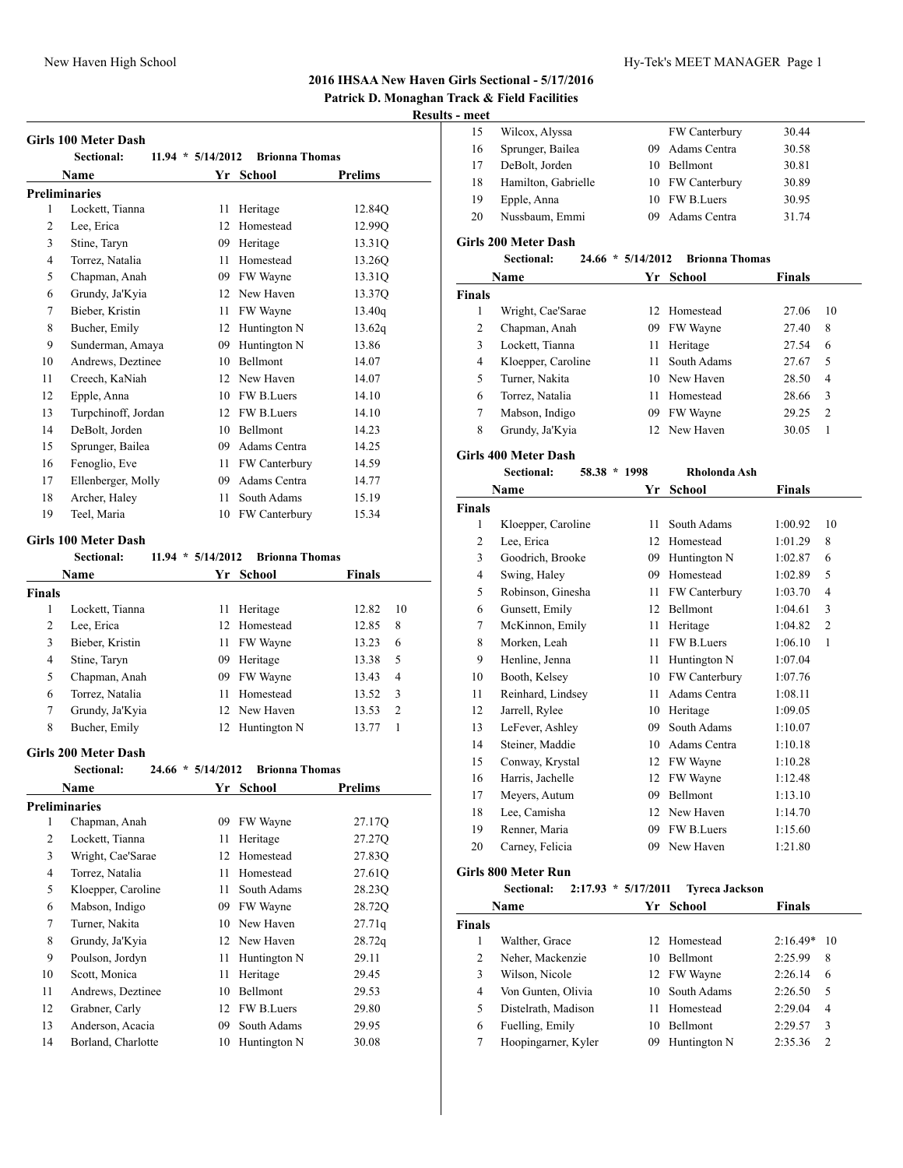## **2016 IHSAA New Haven Girls Sectional - 5/17/2016**

# **Patrick D. Monaghan Track & Field Facilities**

## **Results - meet**

| <b>Girls 100 Meter Dash</b> |  |
|-----------------------------|--|
|-----------------------------|--|

| Sectional:          |    |                 |                                                                            |
|---------------------|----|-----------------|----------------------------------------------------------------------------|
| Name                |    |                 | Prelims                                                                    |
| Preliminaries       |    |                 |                                                                            |
| Lockett, Tianna     | 11 | Heritage        | 12.84Q                                                                     |
| Lee, Erica          | 12 | Homestead       | 12.99Q                                                                     |
| Stine, Taryn        | 09 | Heritage        | 13.31Q                                                                     |
| Torrez, Natalia     | 11 | Homestead       | 13.26Q                                                                     |
| Chapman, Anah       | 09 | FW Wayne        | 13.31Q                                                                     |
| Grundy, Ja'Kyia     | 12 | New Haven       | 13.37Q                                                                     |
| Bieber, Kristin     | 11 | FW Wayne        | 13.40q                                                                     |
| Bucher, Emily       | 12 | Huntington N    | 13.62q                                                                     |
| Sunderman, Amaya    | 09 | Huntington N    | 13.86                                                                      |
| Andrews, Deztinee   | 10 | <b>Bellmont</b> | 14.07                                                                      |
| Creech, KaNiah      | 12 | New Haven       | 14.07                                                                      |
| Epple, Anna         | 10 | FW B.Luers      | 14.10                                                                      |
| Turpchinoff, Jordan | 12 | FW B.Luers      | 14.10                                                                      |
| DeBolt, Jorden      | 10 | Bellmont        | 14.23                                                                      |
| Sprunger, Bailea    | 09 | Adams Centra    | 14.25                                                                      |
| Fenoglio, Eve       | 11 | FW Canterbury   | 14.59                                                                      |
| Ellenberger, Molly  | 09 | Adams Centra    | 14.77                                                                      |
| Archer, Haley       | 11 | South Adams     | 15.19                                                                      |
| Teel, Maria         | 10 |                 | 15.34                                                                      |
|                     |    |                 | $11.94 * 5/14/2012$<br><b>Brionna Thomas</b><br>Yr School<br>FW Canterbury |

## **Girls 100 Meter Dash**

|               | Sectional:      | $11.94 * 5/14/2012$ | <b>Brionna Thomas</b> |               |                |
|---------------|-----------------|---------------------|-----------------------|---------------|----------------|
|               | <b>Name</b>     |                     | Yr School             | <b>Finals</b> |                |
| <b>Finals</b> |                 |                     |                       |               |                |
| 1             | Lockett, Tianna | 11                  | Heritage              | 12.82         | 10             |
| 2             | Lee, Erica      |                     | 12 Homestead          | 12.85         | 8              |
| 3             | Bieber, Kristin |                     | 11 FW Wayne           | 13.23         | 6              |
| 4             | Stine, Taryn    | 09                  | Heritage              | 13.38         | 5              |
| 5             | Chapman, Anah   | 09                  | FW Wayne              | 13.43         | 4              |
| 6             | Torrez, Natalia | 11                  | Homestead             | 13.52         | 3              |
| 7             | Grundy, Ja'Kyia |                     | 12 New Haven          | 13.53         | $\overline{2}$ |
| 8             | Bucher, Emily   | 12                  | Huntington N          | 13.77         |                |
|               |                 |                     |                       |               |                |

#### **Girls 200 Meter Dash**

| <b>Sectional:</b>  |    |              |                     |                       |
|--------------------|----|--------------|---------------------|-----------------------|
| Name               | Yr | School       | Prelims             |                       |
| Preliminaries      |    |              |                     |                       |
| Chapman, Anah      | 09 | FW Wayne     | 27.17Q              |                       |
| Lockett, Tianna    | 11 | Heritage     | 27.27Q              |                       |
| Wright, Cae'Sarae  | 12 | Homestead    | 27.83Q              |                       |
| Torrez, Natalia    | 11 | Homestead    | 27.61Q              |                       |
| Kloepper, Caroline | 11 | South Adams  | 28.23Q              |                       |
| Mabson, Indigo     | 09 | FW Wayne     | 28.72Q              |                       |
| Turner, Nakita     | 10 | New Haven    | 27.71q              |                       |
| Grundy, Ja'Kyia    | 12 | New Haven    | 28.72q              |                       |
| Poulson, Jordyn    | 11 | Huntington N | 29.11               |                       |
| Scott, Monica      | 11 | Heritage     | 29.45               |                       |
| Andrews, Deztinee  | 10 | Bellmont     | 29.53               |                       |
| Grabner, Carly     | 12 | FW B.Luers   | 29.80               |                       |
| Anderson, Acacia   | 09 | South Adams  | 29.95               |                       |
| Borland, Charlotte | 10 | Huntington N | 30.08               |                       |
|                    |    |              | $24.66 * 5/14/2012$ | <b>Brionna Thomas</b> |

| meet |                     |     |                      |       |
|------|---------------------|-----|----------------------|-------|
| 15   | Wilcox, Alyssa      |     | <b>FW Canterbury</b> | 30.44 |
| 16   | Sprunger, Bailea    | 09. | Adams Centra         | 30.58 |
| 17   | DeBolt, Jorden      |     | 10 Bellmont          | 30.81 |
| 18   | Hamilton, Gabrielle |     | 10 FW Canterbury     | 30.89 |
| 19   | Epple, Anna         |     | 10 FW B.Luers        | 30.95 |
| 20   | Nussbaum, Emmi      | 09. | Adams Centra         | 31.74 |
|      |                     |     |                      |       |

## **Girls 200 Meter Dash**

| $24.66 * 5/14/2012$<br>Sectional: | Brionna Thomas |
|-----------------------------------|----------------|
|-----------------------------------|----------------|

|               | Name               | Yг | School         | Finals |    |  |
|---------------|--------------------|----|----------------|--------|----|--|
| <b>Finals</b> |                    |    |                |        |    |  |
|               | Wright, Cae'Sarae  |    | 12 Homestead   | 27.06  | 10 |  |
| 2             | Chapman, Anah      | 09 | FW Wayne       | 27.40  | 8  |  |
| 3             | Lockett, Tianna    | 11 | Heritage       | 27.54  | 6  |  |
| 4             | Kloepper, Caroline |    | 11 South Adams | 27.67  | 5  |  |
| 5             | Turner, Nakita     |    | 10 New Haven   | 28.50  | 4  |  |
| 6             | Torrez, Natalia    |    | Homestead      | 28.66  | 3  |  |
| 7             | Mabson, Indigo     | 09 | FW Wayne       | 29.25  | 2  |  |
| 8             | Grundy, Ja'Kyia    |    | 12 New Haven   | 30.05  | 1  |  |
|               |                    |    |                |        |    |  |

### **Girls 400 Meter Dash**

|                | <b>Sectional:</b>  | 58.38 * 1998 | Rholonda Ash    |         |                |
|----------------|--------------------|--------------|-----------------|---------|----------------|
|                | Name               | Yr           | <b>School</b>   | Finals  |                |
| <b>Finals</b>  |                    |              |                 |         |                |
| 1              | Kloepper, Caroline | 11           | South Adams     | 1:00.92 | 10             |
| $\overline{2}$ | Lee, Erica         | 12           | Homestead       | 1:01.29 | 8              |
| 3              | Goodrich, Brooke   | 09           | Huntington N    | 1:02.87 | 6              |
| 4              | Swing, Haley       | 09           | Homestead       | 1:02.89 | 5              |
| 5              | Robinson, Ginesha  | 11           | FW Canterbury   | 1:03.70 | 4              |
| 6              | Gunsett, Emily     | 12           | Bellmont        | 1:04.61 | 3              |
| 7              | McKinnon, Emily    | 11           | Heritage        | 1:04.82 | $\mathfrak{2}$ |
| 8              | Morken, Leah       | 11           | FW B.Luers      | 1:06.10 | 1              |
| 9              | Henline, Jenna     | 11           | Huntington N    | 1:07.04 |                |
| 10             | Booth, Kelsey      | 10           | FW Canterbury   | 1:07.76 |                |
| 11             | Reinhard, Lindsey  | 11           | Adams Centra    | 1:08.11 |                |
| 12             | Jarrell, Rylee     | 10           | Heritage        | 1:09.05 |                |
| 13             | LeFever, Ashley    | 09           | South Adams     | 1:10.07 |                |
| 14             | Steiner, Maddie    | 10           | Adams Centra    | 1:10.18 |                |
| 15             | Conway, Krystal    | 12           | FW Wayne        | 1:10.28 |                |
| 16             | Harris, Jachelle   | 12           | FW Wayne        | 1:12.48 |                |
| 17             | Meyers, Autum      | 09           | <b>Bellmont</b> | 1:13.10 |                |
| 18             | Lee, Camisha       | 12           | New Haven       | 1:14.70 |                |
| 19             | Renner, Maria      | 09           | FW B.Luers      | 1:15.60 |                |
| 20             | Carney, Felicia    | 09           | New Haven       | 1:21.80 |                |
|                |                    |              |                 |         |                |

## **Girls 800 Meter Run**

## **Sectional: 2:17.93 \* 5/17/2011 Tyreca Jackson**

|               | <b>Name</b>         |    | Yr School       | <b>Finals</b> |    |
|---------------|---------------------|----|-----------------|---------------|----|
| <b>Finals</b> |                     |    |                 |               |    |
|               | Walther, Grace      |    | 12 Homestead    | $2:16.49*$    | 10 |
| 2             | Neher, Mackenzie    | 10 | <b>Bellmont</b> | 2:25.99       | 8  |
| 3             | Wilson, Nicole      |    | 12 FW Wayne     | 2:26.14       | 6  |
| 4             | Von Gunten, Olivia  |    | 10 South Adams  | 2:26.50       | 5  |
| 5             | Distelrath, Madison |    | Homestead       | 2:29.04       | 4  |
| 6             | Fuelling, Emily     | 10 | <b>Bellmont</b> | 2:29.57       | 3  |
|               | Hoopingarner, Kyler | 09 | Huntington N    | 2:35.36       | 2  |
|               |                     |    |                 |               |    |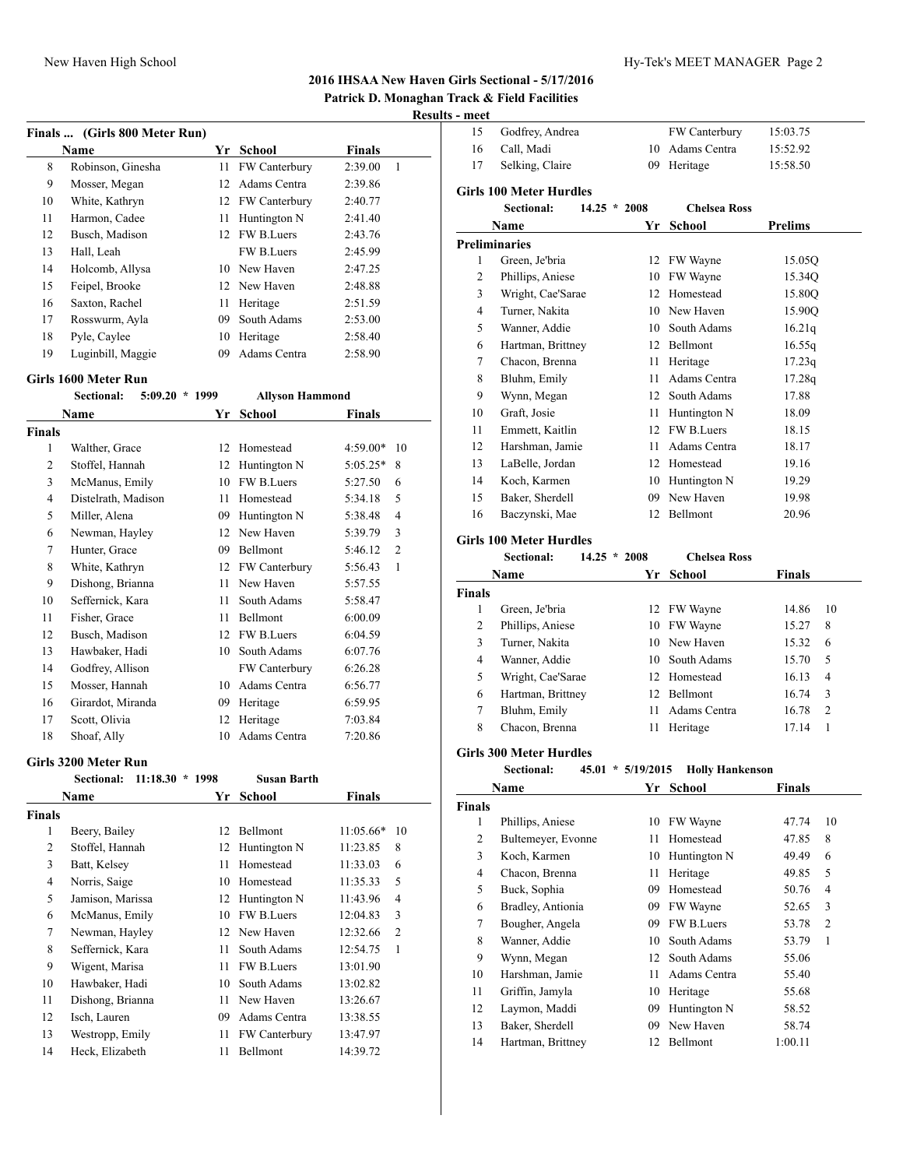## **2016 IHSAA New Haven Girls Sectional - 5/17/2016 Patrick D. Monaghan Track & Field Facilities**

## **Results**

|    | Finals  (Girls 800 Meter Run) |    |                      |               |   |
|----|-------------------------------|----|----------------------|---------------|---|
|    | <b>Name</b>                   | Yr | School               | <b>Finals</b> |   |
| 8  | Robinson, Ginesha             | 11 | <b>FW Canterbury</b> | 2:39.00       | 1 |
| 9  | Mosser, Megan                 | 12 | Adams Centra         | 2:39.86       |   |
| 10 | White, Kathryn                | 12 | <b>FW Canterbury</b> | 2:40.77       |   |
| 11 | Harmon, Cadee                 | 11 | Huntington N         | 2:41.40       |   |
| 12 | Busch, Madison                |    | 12 FW B.Luers        | 2:43.76       |   |
| 13 | Hall, Leah                    |    | FW B.Luers           | 2:45.99       |   |
| 14 | Holcomb, Allysa               | 10 | New Haven            | 2:47.25       |   |
| 15 | Feipel, Brooke                |    | 12 New Haven         | 2:48.88       |   |
| 16 | Saxton, Rachel                | 11 | Heritage             | 2:51.59       |   |
| 17 | Rosswurm, Ayla                | 09 | South Adams          | 2:53.00       |   |
| 18 | Pyle, Caylee                  | 10 | Heritage             | 2:58.40       |   |
| 19 | Luginbill, Maggie             | 09 | Adams Centra         | 2:58.90       |   |

#### **Girls 1600 Meter Run**

|               | $5:09.20 * 1999$<br><b>Sectional:</b> |    | <b>Allyson Hammond</b> |            |                |
|---------------|---------------------------------------|----|------------------------|------------|----------------|
|               | Name                                  | Yr | School                 | Finals     |                |
| <b>Finals</b> |                                       |    |                        |            |                |
| 1             | Walther, Grace                        | 12 | Homestead              | $4:59.00*$ | 10             |
| 2             | Stoffel, Hannah                       | 12 | Huntington N           | $5:05.25*$ | 8              |
| 3             | McManus, Emily                        | 10 | FW B.Luers             | 5:27.50    | 6              |
| 4             | Distelrath, Madison                   | 11 | Homestead              | 5:34.18    | 5              |
| 5             | Miller, Alena                         | 09 | Huntington N           | 5:38.48    | 4              |
| 6             | Newman, Hayley                        | 12 | New Haven              | 5:39.79    | 3              |
| 7             | Hunter, Grace                         | 09 | Bellmont               | 5:46.12    | $\overline{c}$ |
| 8             | White, Kathryn                        | 12 | FW Canterbury          | 5:56.43    | 1              |
| 9             | Dishong, Brianna                      | 11 | New Haven              | 5:57.55    |                |
| 10            | Seffernick, Kara                      | 11 | South Adams            | 5:58.47    |                |
| 11            | Fisher, Grace                         | 11 | Bellmont               | 6:00.09    |                |
| 12            | Busch, Madison                        | 12 | FW B.Luers             | 6:04.59    |                |
| 13            | Hawbaker, Hadi                        | 10 | South Adams            | 6:07.76    |                |
| 14            | Godfrey, Allison                      |    | FW Canterbury          | 6:26.28    |                |
| 15            | Mosser, Hannah                        | 10 | Adams Centra           | 6:56.77    |                |
| 16            | Girardot, Miranda                     | 09 | Heritage               | 6:59.95    |                |
| 17            | Scott, Olivia                         | 12 | Heritage               | 7:03.84    |                |
| 18            | Shoaf, Ally                           | 10 | Adams Centra           | 7:20.86    |                |

#### **Girls 3200 Meter Run**

|        | $11:18.30 * 1998$<br>Sectional: |    | Susan Barth       |             |                |
|--------|---------------------------------|----|-------------------|-------------|----------------|
|        | Name                            | Yr | School            | Finals      |                |
| Finals |                                 |    |                   |             |                |
| 1      | Beery, Bailey                   | 12 | Bellmont          | $11:05.66*$ | 10             |
| 2      | Stoffel, Hannah                 | 12 | Huntington N      | 11:23.85    | 8              |
| 3      | Batt, Kelsey                    | 11 | Homestead         | 11:33.03    | 6              |
| 4      | Norris, Saige                   | 10 | Homestead         | 11:35.33    | 5              |
| 5      | Jamison, Marissa                | 12 | Huntington N      | 11:43.96    | $\overline{4}$ |
| 6      | McManus, Emily                  | 10 | FW B.Luers        | 12:04.83    | 3              |
| 7      | Newman, Hayley                  |    | 12 New Haven      | 12:32.66    | $\overline{2}$ |
| 8      | Seffernick, Kara                | 11 | South Adams       | 12:54.75    | 1              |
| 9      | Wigent, Marisa                  | 11 | <b>FW B.Luers</b> | 13:01.90    |                |
| 10     | Hawbaker, Hadi                  | 10 | South Adams       | 13:02.82    |                |
| 11     | Dishong, Brianna                | 11 | New Haven         | 13:26.67    |                |
| 12     | Isch, Lauren                    | 09 | Adams Centra      | 13:38.55    |                |
| 13     | Westropp, Emily                 | 11 | FW Canterbury     | 13:47.97    |                |
| 14     | Heck, Elizabeth                 | 11 | Bellmont          | 14:39.72    |                |

| - meet         |                                |                |                     |                                   |
|----------------|--------------------------------|----------------|---------------------|-----------------------------------|
| 15             | Godfrey, Andrea                |                | FW Canterbury       | 15:03.75                          |
| 16             | Call, Madi                     | 10             | Adams Centra        | 15:52.92                          |
| 17             | Selking, Claire                | 09             | Heritage            | 15:58.50                          |
|                | <b>Girls 100 Meter Hurdles</b> |                |                     |                                   |
|                | Sectional:                     | $14.25 * 2008$ | <b>Chelsea Ross</b> |                                   |
|                | Name                           | Yr             | <b>School</b>       | <b>Prelims</b>                    |
|                | <b>Preliminaries</b>           |                |                     |                                   |
| 1              | Green, Je'bria                 | 12             | FW Wayne            | 15.05Q                            |
| $\overline{2}$ | Phillips, Aniese               | 10             | FW Wayne            | 15.34Q                            |
| 3              | Wright, Cae'Sarae              | 12             | Homestead           | 15.80Q                            |
| $\overline{4}$ | Turner, Nakita                 | 10             | New Haven           | 15.90Q                            |
| 5              | Wanner, Addie                  | 10             | South Adams         | 16.21q                            |
| 6              | Hartman, Brittney              | 12             | Bellmont            | 16.55q                            |
| $\overline{7}$ | Chacon, Brenna                 | 11             | Heritage            | 17.23q                            |
| 8              | Bluhm, Emily                   | 11             | Adams Centra        | 17.28q                            |
| 9              | Wynn, Megan                    | 12             | South Adams         | 17.88                             |
| 10             | Graft, Josie                   | 11             | Huntington N        | 18.09                             |
| 11             | Emmett, Kaitlin                | $12^{\circ}$   | <b>FW B.Luers</b>   | 18.15                             |
| 12             | Harshman, Jamie                | 11             | Adams Centra        | 18.17                             |
| 13             | LaBelle, Jordan                | 12             | Homestead           | 19.16                             |
| 14             | Koch, Karmen                   | 10             | Huntington N        | 19.29                             |
| 15             | Baker, Sherdell                | 09             | New Haven           | 19.98                             |
| 16             | Baczynski, Mae                 | 12             | Bellmont            | 20.96                             |
|                | <b>Girls 100 Meter Hurdles</b> |                |                     |                                   |
|                | <b>Sectional:</b>              | $14.25 * 2008$ | <b>Chelsea Ross</b> |                                   |
|                | Name                           | Yr             | <b>School</b>       | <b>Finals</b>                     |
| Finals         |                                |                |                     |                                   |
| 1              | Green, Je'bria                 | 12             | FW Wayne            | 10<br>14.86                       |
| 2              | Phillips, Aniese               | 10             | FW Wayne            | 15.27<br>8                        |
| 3              | Turner, Nakita                 | 10             | New Haven           | 15.32<br>6                        |
| $\overline{4}$ | Wanner, Addie                  | 10             | South Adams         | 5<br>15.70                        |
| 5              | Wright, Cae'Sarae              | 12             | Homestead           | $\overline{\mathcal{L}}$<br>16.13 |

#### **Girls 300 Meter Hurdles**

## **Sectional: 45.01 \* 5/19/2015 Holly Hankenson Name Yr School Finals Finals** 1 Phillips, Aniese 10 FW Wayne 47.74 10 2 Bultemeyer, Evonne 11 Homestead 47.85 8

 Hartman, Brittney 12 Bellmont 16.74 3 7 Bluhm, Emily 11 Adams Centra 16.78 2 8 Chacon, Brenna 11 Heritage 17.14 1

| 2  | Bultemeyer, Evonne | 11  | Homestead         | 47.85   | 8 |
|----|--------------------|-----|-------------------|---------|---|
| 3  | Koch, Karmen       |     | 10 Huntington N   | 49.49   | 6 |
| 4  | Chacon, Brenna     | 11  | Heritage          | 49.85   | 5 |
| 5  | Buck, Sophia       | 09  | Homestead         | 50.76   | 4 |
| 6  | Bradley, Antionia  |     | 09 FW Wayne       | 52.65   | 3 |
| 7  | Bougher, Angela    | 09  | <b>FW B.Luers</b> | 53.78   | 2 |
| 8  | Wanner, Addie      |     | 10 South Adams    | 53.79   | 1 |
| 9  | Wynn, Megan        |     | 12 South Adams    | 55.06   |   |
| 10 | Harshman, Jamie    | 11. | Adams Centra      | 55.40   |   |
| 11 | Griffin, Jamyla    |     | 10 Heritage       | 55.68   |   |
| 12 | Laymon, Maddi      | 09  | Huntington N      | 58.52   |   |
| 13 | Baker, Sherdell    | 09  | New Haven         | 58.74   |   |
| 14 | Hartman, Brittney  | 12  | Bellmont          | 1:00.11 |   |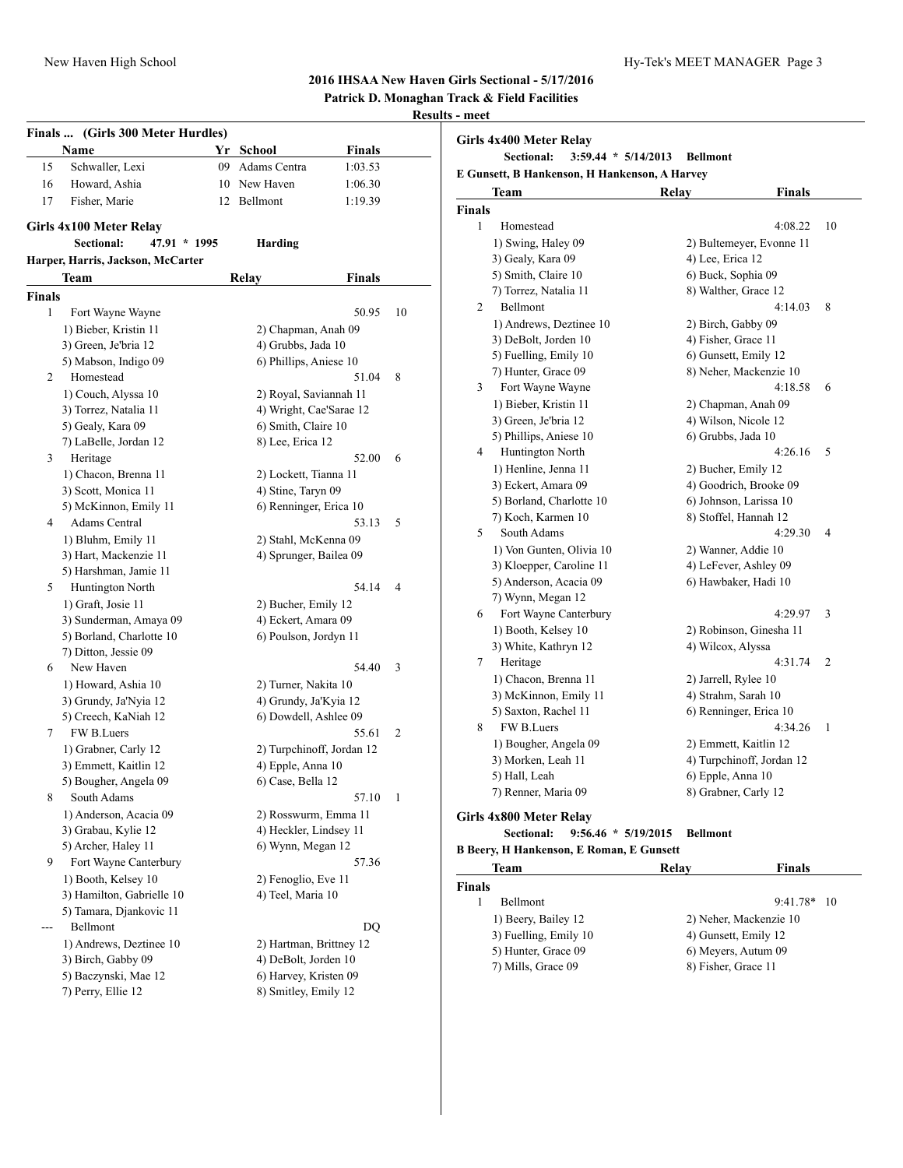### **2016 IHSAA New Haven Girls Sectional - 5/17/2016**

**Patrick D. Monaghan Track & Field Facilities**

### **Results - meet**

|             | Finals  (Girls 300 Meter Hurdles)                     |    |                                              |               |    |
|-------------|-------------------------------------------------------|----|----------------------------------------------|---------------|----|
|             | Name                                                  | Yr | School                                       | <b>Finals</b> |    |
| 15          | Schwaller, Lexi                                       | 09 | Adams Centra                                 | 1:03.53       |    |
| 16          | Howard, Ashia                                         | 10 | New Haven                                    | 1:06.30       |    |
| 17          | Fisher, Marie                                         | 12 | Bellmont                                     | 1:19.39       |    |
|             |                                                       |    |                                              |               |    |
|             | Girls 4x100 Meter Relay<br>Sectional:<br>47.91 * 1995 |    | <b>Harding</b>                               |               |    |
|             | Harper, Harris, Jackson, McCarter                     |    |                                              |               |    |
|             | Team                                                  |    | Relay                                        | Finals        |    |
|             |                                                       |    |                                              |               |    |
| Finals<br>1 |                                                       |    |                                              | 50.95         | 10 |
|             | Fort Wayne Wayne                                      |    |                                              |               |    |
|             | 1) Bieber, Kristin 11                                 |    | 2) Chapman, Anah 09                          |               |    |
|             | 3) Green, Je'bria 12<br>5) Mabson, Indigo 09          |    | 4) Grubbs, Jada 10<br>6) Phillips, Aniese 10 |               |    |
| 2           | Homestead                                             |    |                                              | 51.04         | 8  |
|             | 1) Couch, Alyssa 10                                   |    | 2) Royal, Saviannah 11                       |               |    |
|             | 3) Torrez, Natalia 11                                 |    | 4) Wright, Cae'Sarae 12                      |               |    |
|             | 5) Gealy, Kara 09                                     |    | 6) Smith, Claire 10                          |               |    |
|             | 7) LaBelle, Jordan 12                                 |    | 8) Lee, Erica 12                             |               |    |
| 3           | Heritage                                              |    |                                              | 52.00         | 6  |
|             | 1) Chacon, Brenna 11                                  |    | 2) Lockett, Tianna 11                        |               |    |
|             | 3) Scott, Monica 11                                   |    | 4) Stine, Taryn 09                           |               |    |
|             | 5) McKinnon, Emily 11                                 |    | 6) Renninger, Erica 10                       |               |    |
| 4           | <b>Adams Central</b>                                  |    |                                              | 53.13         | 5  |
|             | 1) Bluhm, Emily 11                                    |    | 2) Stahl, McKenna 09                         |               |    |
|             | 3) Hart, Mackenzie 11                                 |    | 4) Sprunger, Bailea 09                       |               |    |
|             | 5) Harshman, Jamie 11                                 |    |                                              |               |    |
| 5           | Huntington North                                      |    |                                              | 54.14         | 4  |
|             | 1) Graft, Josie 11                                    |    | 2) Bucher, Emily 12                          |               |    |
|             | 3) Sunderman, Amaya 09                                |    | 4) Eckert, Amara 09                          |               |    |
|             | 5) Borland, Charlotte 10                              |    | 6) Poulson, Jordyn 11                        |               |    |
|             | 7) Ditton, Jessie 09                                  |    |                                              |               |    |
| 6           | New Haven                                             |    |                                              | 54.40         | 3  |
|             | 1) Howard, Ashia 10                                   |    | 2) Turner, Nakita 10                         |               |    |
|             | 3) Grundy, Ja'Nyia 12                                 |    | 4) Grundy, Ja'Kyia 12                        |               |    |
|             | 5) Creech, KaNiah 12                                  |    | 6) Dowdell, Ashlee 09                        |               |    |
| 7           | FW B.Luers                                            |    |                                              | 55.61         | 2  |
|             | 1) Grabner, Carly 12                                  |    | 2) Turpchinoff, Jordan 12                    |               |    |
|             | 3) Emmett, Kaitlin 12                                 |    | 4) Epple, Anna 10                            |               |    |
|             | 5) Bougher, Angela 09                                 |    | 6) Case, Bella 12                            |               |    |
| 8           | South Adams                                           |    |                                              | 57.10         | 1  |
|             | 1) Anderson, Acacia 09                                |    | 2) Rosswurm, Emma 11                         |               |    |
|             | 3) Grabau, Kylie 12                                   |    | 4) Heckler, Lindsey 11                       |               |    |
|             | 5) Archer, Haley 11                                   |    | 6) Wynn, Megan 12                            |               |    |
| 9           | Fort Wayne Canterbury                                 |    |                                              | 57.36         |    |
|             | 1) Booth, Kelsey 10                                   |    | 2) Fenoglio, Eve 11                          |               |    |
|             | 3) Hamilton, Gabrielle 10                             |    | 4) Teel, Maria 10                            |               |    |
|             | 5) Tamara, Djankovic 11                               |    |                                              |               |    |
|             | Bellmont                                              |    |                                              | DO            |    |
|             | 1) Andrews, Deztinee 10                               |    | 2) Hartman, Brittney 12                      |               |    |
|             | 3) Birch, Gabby 09                                    |    | 4) DeBolt, Jorden 10                         |               |    |
|             | 5) Baczynski, Mae 12                                  |    | 6) Harvey, Kristen 09                        |               |    |
|             | 7) Perry, Ellie 12                                    |    | 8) Smitley, Emily 12                         |               |    |
|             |                                                       |    |                                              |               |    |

|               | E Gunsett, B Hankenson, H Hankenson, A Harvey   |                      |                           |    |
|---------------|-------------------------------------------------|----------------------|---------------------------|----|
|               | Team                                            | Relay                | <b>Finals</b>             |    |
| <b>Finals</b> |                                                 |                      |                           |    |
| 1             | Homestead                                       |                      | 4:08.22                   | 10 |
|               | 1) Swing, Haley 09                              |                      | 2) Bultemeyer, Evonne 11  |    |
|               | 3) Gealy, Kara 09                               | 4) Lee, Erica 12     |                           |    |
|               | 5) Smith, Claire 10                             | 6) Buck, Sophia 09   |                           |    |
|               | 7) Torrez, Natalia 11                           | 8) Walther, Grace 12 |                           |    |
| 2             | Bellmont                                        |                      | 4:14.03                   | 8  |
|               | 1) Andrews, Deztinee 10                         | 2) Birch, Gabby 09   |                           |    |
|               | 3) DeBolt, Jorden 10                            | 4) Fisher, Grace 11  |                           |    |
|               | 5) Fuelling, Emily 10                           | 6) Gunsett, Emily 12 |                           |    |
|               | 7) Hunter, Grace 09                             |                      | 8) Neher, Mackenzie 10    |    |
| 3             | Fort Wayne Wayne                                |                      | 4:18.58                   | 6  |
|               | 1) Bieber, Kristin 11                           |                      | 2) Chapman, Anah 09       |    |
|               | 3) Green, Je'bria 12                            | 4) Wilson, Nicole 12 |                           |    |
|               | 5) Phillips, Aniese 10                          | 6) Grubbs, Jada 10   |                           |    |
| 4             | Huntington North                                |                      | 4:26.16                   | 5  |
|               | 1) Henline, Jenna 11                            | 2) Bucher, Emily 12  |                           |    |
|               | 3) Eckert, Amara 09                             |                      | 4) Goodrich, Brooke 09    |    |
|               | 5) Borland, Charlotte 10                        |                      | 6) Johnson, Larissa 10    |    |
|               | 7) Koch, Karmen 10                              |                      | 8) Stoffel, Hannah 12     |    |
| 5             | South Adams                                     |                      | 4:29.30                   | 4  |
|               | 1) Von Gunten, Olivia 10                        | 2) Wanner, Addie 10  |                           |    |
|               | 3) Kloepper, Caroline 11                        |                      | 4) LeFever, Ashley 09     |    |
|               | 5) Anderson, Acacia 09                          |                      | 6) Hawbaker, Hadi 10      |    |
|               | 7) Wynn, Megan 12                               |                      |                           |    |
| 6             | Fort Wayne Canterbury                           |                      | 4:29.97                   | 3  |
|               | 1) Booth, Kelsey 10                             |                      | 2) Robinson, Ginesha 11   |    |
|               | 3) White, Kathryn 12                            | 4) Wilcox, Alyssa    |                           |    |
| 7             | Heritage                                        |                      | 4:31.74                   | 2  |
|               | 1) Chacon, Brenna 11                            | 2) Jarrell, Rylee 10 |                           |    |
|               | 3) McKinnon, Emily 11                           | 4) Strahm, Sarah 10  |                           |    |
|               | 5) Saxton, Rachel 11                            |                      | 6) Renninger, Erica 10    |    |
| 8             | FW B.Luers                                      |                      | 4:34.26                   | 1  |
|               | 1) Bougher, Angela 09                           |                      | 2) Emmett, Kaitlin 12     |    |
|               | 3) Morken, Leah 11                              |                      | 4) Turpchinoff, Jordan 12 |    |
|               | 5) Hall, Leah                                   | 6) Epple, Anna 10    |                           |    |
|               | 7) Renner, Maria 09                             | 8) Grabner, Carly 12 |                           |    |
|               | Girls 4x800 Meter Relay                         |                      |                           |    |
|               | <b>Sectional:</b><br>$9:56.46 * 5/19/2015$      | <b>Bellmont</b>      |                           |    |
|               | <b>B Beery, H Hankenson, E Roman, E Gunsett</b> |                      |                           |    |
|               | Team                                            | Relay                | <b>Finals</b>             |    |
| Finals        |                                                 |                      |                           |    |
| 1             | Bellmont                                        |                      | 9:41.78*                  | 10 |
|               | 1) Beery, Bailey 12                             |                      | 2) Neher, Mackenzie 10    |    |
|               | 3) Fuelling, Emily 10                           | 4) Gunsett, Emily 12 |                           |    |
|               | 5) Hunter, Grace 09                             |                      | 6) Meyers, Autum 09       |    |

7) Mills, Grace 09 8) Fisher, Grace 11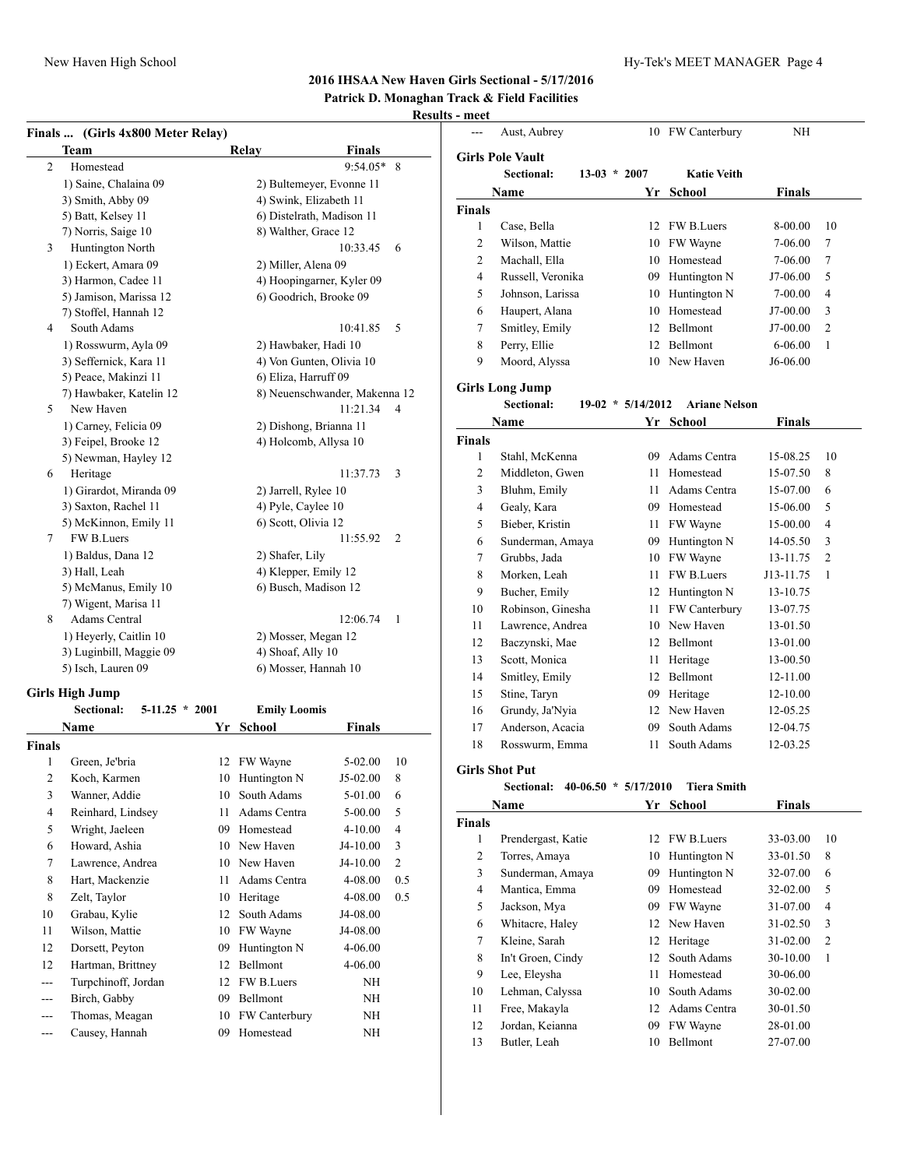## **2016 IHSAA New Haven Girls Sectional - 5/17/2016 Patrick D. Monaghan Track & Field Facilities**

## **Results - meet**

|                   | Finals  (Girls 4x800 Meter Relay)     |    |                           |                               |                 |                | Aust, Aubrey                    |                     | 10 FW Canterbury     | NH            |                |
|-------------------|---------------------------------------|----|---------------------------|-------------------------------|-----------------|----------------|---------------------------------|---------------------|----------------------|---------------|----------------|
|                   | <b>Team</b>                           |    | Relay                     | <b>Finals</b>                 |                 |                | <b>Girls Pole Vault</b>         |                     |                      |               |                |
| $\overline{c}$    | Homestead                             |    |                           | 9:54.05* 8                    |                 |                | Sectional:                      | $13-03 * 2007$      | <b>Katie Veith</b>   |               |                |
|                   | 1) Saine, Chalaina 09                 |    | 2) Bultemeyer, Evonne 11  |                               |                 |                | Name                            |                     | Yr School            | <b>Finals</b> |                |
|                   | 3) Smith, Abby 09                     |    | 4) Swink, Elizabeth 11    |                               |                 |                |                                 |                     |                      |               |                |
|                   | 5) Batt, Kelsey 11                    |    | 6) Distelrath, Madison 11 |                               |                 | <b>Finals</b>  |                                 |                     | 12 FW B.Luers        | 8-00.00       | 10             |
|                   | 7) Norris, Saige 10                   |    | 8) Walther, Grace 12      |                               |                 | 1              | Case, Bella                     |                     |                      |               |                |
| 3                 | Huntington North                      |    |                           | 10:33.45                      | - 6             | $\overline{c}$ | Wilson, Mattie                  |                     | 10 FW Wayne          | 7-06.00       | $\tau$         |
|                   | 1) Eckert, Amara 09                   |    | 2) Miller, Alena 09       |                               |                 | $\overline{2}$ | Machall, Ella                   |                     | 10 Homestead         | 7-06.00       | $\tau$         |
|                   | 3) Harmon, Cadee 11                   |    | 4) Hoopingarner, Kyler 09 |                               |                 | $\overline{4}$ | Russell, Veronika               |                     | 09 Huntington N      | J7-06.00      | 5              |
|                   | 5) Jamison, Marissa 12                |    | 6) Goodrich, Brooke 09    |                               |                 | 5              | Johnson, Larissa                |                     | 10 Huntington N      | 7-00.00       | 4              |
|                   | 7) Stoffel, Hannah 12                 |    |                           |                               |                 | 6              | Haupert, Alana                  |                     | 10 Homestead         | J7-00.00      | 3              |
| 4                 | South Adams                           |    |                           | 10:41.85                      | $5\overline{)}$ | $\overline{7}$ | Smitley, Emily                  | 12                  | Bellmont             | J7-00.00      | 2              |
|                   | 1) Rosswurm, Ayla 09                  |    | 2) Hawbaker, Hadi 10      |                               |                 | 8              | Perry, Ellie                    |                     | 12 Bellmont          | 6-06.00       | 1              |
|                   | 3) Seffernick, Kara 11                |    | 4) Von Gunten, Olivia 10  |                               |                 | 9              | Moord, Alyssa                   |                     | 10 New Haven         | J6-06.00      |                |
|                   | 5) Peace, Makinzi 11                  |    | 6) Eliza, Harruff 09      |                               |                 |                | <b>Girls Long Jump</b>          |                     |                      |               |                |
|                   | 7) Hawbaker, Katelin 12               |    |                           | 8) Neuenschwander, Makenna 12 |                 |                | Sectional:                      | $19-02 * 5/14/2012$ | <b>Ariane Nelson</b> |               |                |
| 5                 | New Haven                             |    |                           | $11:21.34$ 4                  |                 |                |                                 |                     |                      |               |                |
|                   | 1) Carney, Felicia 09                 |    | 2) Dishong, Brianna 11    |                               |                 |                | Name                            |                     | Yr School            | <b>Finals</b> |                |
|                   | 3) Feipel, Brooke 12                  |    | 4) Holcomb, Allysa 10     |                               |                 | <b>Finals</b>  |                                 |                     |                      |               |                |
|                   | 5) Newman, Hayley 12                  |    |                           |                               |                 | 1              | Stahl, McKenna                  | 09                  | Adams Centra         | 15-08.25      | 10             |
| 6                 | Heritage                              |    |                           | 11:37.73                      | 3               | $\overline{2}$ | Middleton, Gwen                 | 11                  | Homestead            | 15-07.50      | 8              |
|                   | 1) Girardot, Miranda 09               |    | 2) Jarrell, Rylee 10      |                               |                 | 3              | Bluhm, Emily                    |                     | 11 Adams Centra      | 15-07.00      | 6              |
|                   | 3) Saxton, Rachel 11                  |    | 4) Pyle, Caylee 10        |                               |                 | $\overline{4}$ | Gealy, Kara                     |                     | 09 Homestead         | 15-06.00      | 5              |
|                   | 5) McKinnon, Emily 11                 |    | 6) Scott, Olivia 12       |                               |                 | 5              | Bieber, Kristin                 |                     | 11 FW Wayne          | 15-00.00      | $\overline{4}$ |
| 7                 | FW B.Luers                            |    |                           | 11:55.92 2                    |                 | 6              | Sunderman, Amaya                |                     | 09 Huntington N      | 14-05.50      | 3              |
|                   | 1) Baldus, Dana 12                    |    | 2) Shafer, Lily           |                               |                 | $\overline{7}$ | Grubbs, Jada                    |                     | 10 FW Wayne          | 13-11.75      | 2              |
|                   | 3) Hall, Leah                         |    | 4) Klepper, Emily 12      |                               |                 | 8              | Morken, Leah                    | 11                  | FW B.Luers           | J13-11.75     | -1             |
|                   | 5) McManus, Emily 10                  |    | 6) Busch, Madison 12      |                               |                 | 9              | Bucher, Emily                   |                     | 12 Huntington N      | 13-10.75      |                |
|                   | 7) Wigent, Marisa 11                  |    |                           |                               |                 | 10             | Robinson, Ginesha               |                     | 11 FW Canterbury     | 13-07.75      |                |
| 8                 | Adams Central                         |    |                           | 12:06.74                      | -1              | 11             | Lawrence, Andrea                |                     | 10 New Haven         | 13-01.50      |                |
|                   | 1) Heyerly, Caitlin 10                |    | 2) Mosser, Megan 12       |                               |                 | 12             | Baczynski, Mae                  | 12                  | Bellmont             | 13-01.00      |                |
|                   | 3) Luginbill, Maggie 09               |    | 4) Shoaf, Ally 10         |                               |                 | 13             | Scott, Monica                   | 11                  | Heritage             | 13-00.50      |                |
|                   | 5) Isch, Lauren 09                    |    | 6) Mosser, Hannah 10      |                               |                 | 14             | Smitley, Emily                  |                     | 12 Bellmont          | 12-11.00      |                |
|                   | <b>Girls High Jump</b>                |    |                           |                               |                 | 15             | Stine, Taryn                    |                     | 09 Heritage          | 12-10.00      |                |
|                   | <b>Sectional:</b><br>$5-11.25 * 2001$ |    | <b>Emily Loomis</b>       |                               |                 | 16             | Grundy, Ja'Nyia                 |                     | 12 New Haven         | 12-05.25      |                |
|                   | <b>Name</b>                           |    | Yr School                 | Finals                        |                 | 17             | Anderson, Acacia                | 09                  | South Adams          | 12-04.75      |                |
| <b>Finals</b>     |                                       |    |                           |                               |                 | 18             | Rosswurm, Emma                  | 11                  | South Adams          | 12-03.25      |                |
|                   | Green, Je'bria                        |    | 12 FW Wayne               | 5-02.00                       | 10              |                |                                 |                     |                      |               |                |
| $\overline{2}$    | Koch, Karmen                          |    | 10 Huntington N           | $J5-02.00$                    | 8               |                | <b>Girls Shot Put</b>           |                     |                      |               |                |
| 3                 | Wanner, Addie                         | 10 | South Adams               | 5-01.00                       | 6               |                | Sectional: 40-06.50 * 5/17/2010 |                     | <b>Tiera Smith</b>   |               |                |
| 4                 | Reinhard, Lindsey                     | 11 | Adams Centra              | 5-00.00                       | 5               |                | Name                            |                     | Yr School            | Finals        |                |
| 5                 | Wright, Jaeleen                       | 09 | Homestead                 | $4 - 10.00$                   | $\overline{4}$  | <b>Finals</b>  |                                 |                     |                      |               |                |
| 6                 | Howard, Ashia                         | 10 | New Haven                 | J4-10.00                      | 3               | 1              | Prendergast, Katie              |                     | 12 FW B.Luers        | 33-03.00      | 10             |
| 7                 | Lawrence, Andrea                      | 10 | New Haven                 | J4-10.00                      | $\overline{c}$  | $\overline{c}$ | Torres, Amaya                   | 10                  | Huntington N         | 33-01.50      | 8              |
|                   |                                       |    |                           |                               |                 | 3              | Sunderman, Amaya                | 09                  | Huntington N         | 32-07.00      | 6              |
| 8                 | Hart, Mackenzie                       | 11 | Adams Centra              | 4-08.00                       | 0.5             | 4              | Mantica, Emma                   | 09                  | Homestead            | 32-02.00      | 5              |
| 8                 | Zelt, Taylor                          |    | 10 Heritage               | 4-08.00                       | 0.5             | 5              | Jackson, Mya                    | 09                  | FW Wayne             | 31-07.00      | 4              |
| 10                | Grabau, Kylie                         |    | 12 South Adams            | J4-08.00                      |                 | 6              | Whitacre, Haley                 |                     | 12 New Haven         | 31-02.50      | 3              |
| 11                | Wilson, Mattie                        | 10 | FW Wayne                  | J4-08.00                      |                 | 7              | Kleine, Sarah                   |                     | 12 Heritage          | 31-02.00      | 2              |
| 12                | Dorsett, Peyton                       | 09 | Huntington N              | 4-06.00                       |                 | 8              | In't Groen, Cindy               |                     | 12 South Adams       | 30-10.00      | 1              |
| 12                | Hartman, Brittney                     | 12 | Bellmont                  | 4-06.00                       |                 | 9              | Lee, Eleysha                    | 11                  | Homestead            | 30-06.00      |                |
| $\sim$ $\sim$     | Turpchinoff, Jordan                   |    | 12 FW B.Luers             | NH                            |                 | 10             | Lehman, Calyssa                 | 10                  | South Adams          | 30-02.00      |                |
| $\qquad \qquad -$ | Birch, Gabby                          | 09 | Bellmont                  | <b>NH</b>                     |                 | 11             | Free, Makayla                   | 12                  | Adams Centra         | 30-01.50      |                |
| $---$             | Thomas, Meagan                        | 10 | FW Canterbury             | <b>NH</b>                     |                 |                |                                 |                     |                      |               |                |
| $\sim$ $\sim$     | Causey, Hannah                        | 09 | Homestead                 | NH                            |                 | 12             | Jordan, Keianna                 |                     | 09 FW Wayne          | 28-01.00      |                |
|                   |                                       |    |                           |                               |                 | 13             | Butler, Leah                    |                     | 10 Bellmont          | 27-07.00      |                |